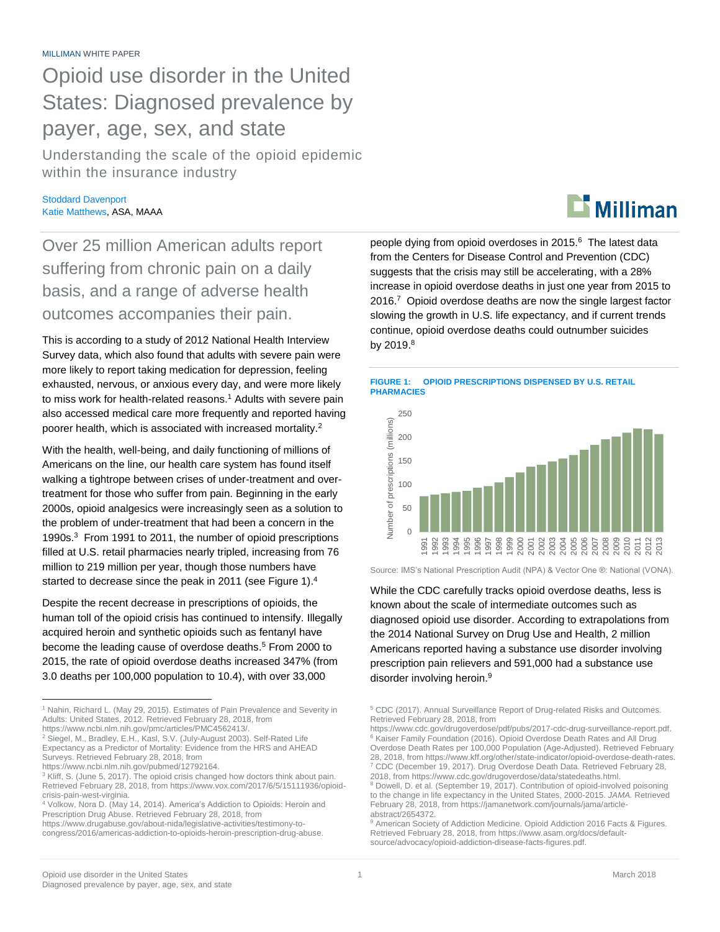Opioid use disorder in the United States: Diagnosed prevalence by payer, age, sex, and state

Understanding the scale of the opioid epidemic within the insurance industry

Stoddard Davenport Katie Matthews, ASA, MAAA

Over 25 million American adults report suffering from chronic pain on a daily basis, and a range of adverse health outcomes accompanies their pain.

This is according to a study of 2012 National Health Interview Survey data, which also found that adults with severe pain were more likely to report taking medication for depression, feeling exhausted, nervous, or anxious every day, and were more likely to miss work for health-related reasons.<sup>1</sup> Adults with severe pain also accessed medical care more frequently and reported having poorer health, which is associated with increased mortality.<sup>2</sup>

With the health, well-being, and daily functioning of millions of Americans on the line, our health care system has found itself walking a tightrope between crises of under-treatment and overtreatment for those who suffer from pain. Beginning in the early 2000s, opioid analgesics were increasingly seen as a solution to the problem of under-treatment that had been a concern in the 1990s.<sup>3</sup> From 1991 to 2011, the number of opioid prescriptions filled at U.S. retail pharmacies nearly tripled, increasing from 76 million to 219 million per year, though those numbers have started to decrease since the peak in 2011 (see Figure 1).<sup>4</sup>

Despite the recent decrease in prescriptions of opioids, the human toll of the opioid crisis has continued to intensify. Illegally acquired heroin and synthetic opioids such as fentanyl have become the leading cause of overdose deaths.<sup>5</sup> From 2000 to 2015, the rate of opioid overdose deaths increased 347% (from 3.0 deaths per 100,000 population to 10.4), with over 33,000

# $\mathbf{D}$  Milliman

people dying from opioid overdoses in 2015.<sup>6</sup> The latest data from the Centers for Disease Control and Prevention (CDC) suggests that the crisis may still be accelerating, with a 28% increase in opioid overdose deaths in just one year from 2015 to 2016.<sup>7</sup> Opioid overdose deaths are now the single largest factor slowing the growth in U.S. life expectancy, and if current trends continue, opioid overdose deaths could outnumber suicides by 2019.<sup>8</sup>





Source: IMS's National Prescription Audit (NPA) & Vector One ®: National (VONA).

While the CDC carefully tracks opioid overdose deaths, less is known about the scale of intermediate outcomes such as diagnosed opioid use disorder. According to extrapolations from the 2014 National Survey on Drug Use and Health, 2 million Americans reported having a substance use disorder involving prescription pain relievers and 591,000 had a substance use disorder involving heroin.<sup>9</sup>

 $\overline{a}$ 

<sup>&</sup>lt;sup>1</sup> Nahin, Richard L. (May 29, 2015). Estimates of Pain Prevalence and Severity in Adults: United States, 2012. Retrieved February 28, 2018, from https://www.ncbi.nlm.nih.gov/pmc/articles/PMC4562413/.

<sup>2</sup> Siegel, M., Bradley, E.H., Kasl, S.V. (July-August 2003). Self-Rated Life Expectancy as a Predictor of Mortality: Evidence from the HRS and AHEAD Surveys. Retrieved February 28, 2018, from https://www.ncbi.nlm.nih.gov/pubmed/12792164.

<sup>&</sup>lt;sup>3</sup> Kliff, S. (June 5, 2017). The opioid crisis changed how doctors think about pain. Retrieved February 28, 2018, from https://www.vox.com/2017/6/5/15111936/opioidcrisis-pain-west-virginia.

<sup>4</sup> Volkow, Nora D. (May 14, 2014). America's Addiction to Opioids: Heroin and Prescription Drug Abuse. Retrieved February 28, 2018, from

https://www.drugabuse.gov/about-nida/legislative-activities/testimony-tocongress/2016/americas-addiction-to-opioids-heroin-prescription-drug-abuse.

<sup>5</sup> CDC (2017). Annual Surveillance Report of Drug-related Risks and Outcomes. Retrieved February 28, 2018, from

https://www.cdc.gov/drugoverdose/pdf/pubs/2017-cdc-drug-surveillance-report.pdf. <sup>6</sup> Kaiser Family Foundation (2016). Opioid Overdose Death Rates and All Drug Overdose Death Rates per 100,000 Population (Age-Adjusted). Retrieved February 28, 2018, from https://www.kff.org/other/state-indicator/opioid-overdose-death-rates. <sup>7</sup> CDC (December 19, 2017). Drug Overdose Death Data*.* Retrieved February 28, 2018, from https://www.cdc.gov/drugoverdose/data/statedeaths.html.

<sup>8</sup> Dowell, D. et al. (September 19, 2017). Contribution of opioid-involved poisoning to the change in life expectancy in the United States, 2000-2015. *JAMA.* Retrieved February 28, 2018, from https://jamanetwork.com/journals/jama/articleabstract/2654372.

<sup>&</sup>lt;sup>9</sup> American Society of Addiction Medicine. Opioid Addiction 2016 Facts & Figures. Retrieved February 28, 2018, from https://www.asam.org/docs/defaultsource/advocacy/opioid-addiction-disease-facts-figures.pdf.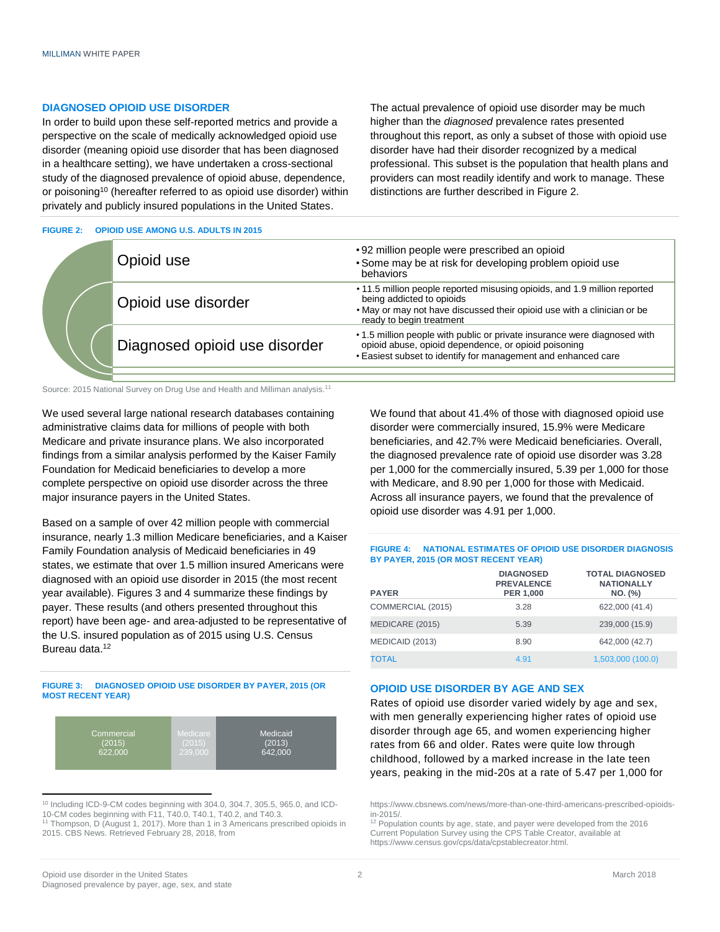## **DIAGNOSED OPIOID USE DISORDER**

In order to build upon these self-reported metrics and provide a perspective on the scale of medically acknowledged opioid use disorder (meaning opioid use disorder that has been diagnosed in a healthcare setting), we have undertaken a cross-sectional study of the diagnosed prevalence of opioid abuse, dependence, or poisoning<sup>10</sup> (hereafter referred to as opioid use disorder) within privately and publicly insured populations in the United States.

### **FIGURE 2: OPIOID USE AMONG U.S. ADULTS IN 2015**

The actual prevalence of opioid use disorder may be much higher than the *diagnosed* prevalence rates presented throughout this report, as only a subset of those with opioid use disorder have had their disorder recognized by a medical professional. This subset is the population that health plans and providers can most readily identify and work to manage. These distinctions are further described in Figure 2.

| Opioid use                    | •92 million people were prescribed an opioid<br>• Some may be at risk for developing problem opioid use<br>behaviors                                                                                          |
|-------------------------------|---------------------------------------------------------------------------------------------------------------------------------------------------------------------------------------------------------------|
| Opioid use disorder           | • 11.5 million people reported misusing opioids, and 1.9 million reported<br>being addicted to opioids<br>. May or may not have discussed their opioid use with a clinician or be<br>ready to begin treatment |
| Diagnosed opioid use disorder | • 1.5 million people with public or private insurance were diagnosed with<br>opioid abuse, opioid dependence, or opioid poisoning<br>. Easiest subset to identify for management and enhanced care            |
|                               |                                                                                                                                                                                                               |
|                               |                                                                                                                                                                                                               |

Source: 2015 National Survey on Drug Use and Health and Milliman analysis.<sup>11</sup>

We used several large national research databases containing administrative claims data for millions of people with both Medicare and private insurance plans. We also incorporated findings from a similar analysis performed by the Kaiser Family Foundation for Medicaid beneficiaries to develop a more complete perspective on opioid use disorder across the three major insurance payers in the United States.

Based on a sample of over 42 million people with commercial insurance, nearly 1.3 million Medicare beneficiaries, and a Kaiser Family Foundation analysis of Medicaid beneficiaries in 49 states, we estimate that over 1.5 million insured Americans were diagnosed with an opioid use disorder in 2015 (the most recent year available). Figures 3 and 4 summarize these findings by payer. These results (and others presented throughout this report) have been age- and area-adjusted to be representative of the U.S. insured population as of 2015 using U.S. Census Bureau data.<sup>12</sup>

#### **FIGURE 3: DIAGNOSED OPIOID USE DISORDER BY PAYER, 2015 (OR MOST RECENT YEAR)**



 <sup>10</sup> Including ICD-9-CM codes beginning with 304.0, 304.7, 305.5, 965.0, and ICD-10-CM codes beginning with F11, T40.0, T40.1, T40.2, and T40.3.

<sup>11</sup> Thompson, D (August 1, 2017). More than 1 in 3 Americans prescribed opioids in 2015. CBS News. Retrieved February 28, 2018, from

We found that about 41.4% of those with diagnosed opioid use disorder were commercially insured, 15.9% were Medicare beneficiaries, and 42.7% were Medicaid beneficiaries. Overall, the diagnosed prevalence rate of opioid use disorder was 3.28 per 1,000 for the commercially insured, 5.39 per 1,000 for those with Medicare, and 8.90 per 1,000 for those with Medicaid. Across all insurance payers, we found that the prevalence of opioid use disorder was 4.91 per 1,000.

## **FIGURE 4: NATIONAL ESTIMATES OF OPIOID USE DISORDER DIAGNOSIS BY PAYER, 2015 (OR MOST RECENT YEAR)**

| <b>PAYER</b>      | <b>DIAGNOSED</b><br><b>PREVALENCE</b><br>PER 1,000 | <b>TOTAL DIAGNOSED</b><br><b>NATIONALLY</b><br>NO. (%) |
|-------------------|----------------------------------------------------|--------------------------------------------------------|
| COMMERCIAL (2015) | 3.28                                               | 622,000 (41.4)                                         |
| MEDICARE (2015)   | 5.39                                               | 239,000 (15.9)                                         |
| MEDICAID (2013)   | 8.90                                               | 642,000 (42.7)                                         |
| <b>TOTAL</b>      | 4.91                                               | 1,503,000 (100.0)                                      |

## **OPIOID USE DISORDER BY AGE AND SEX**

Rates of opioid use disorder varied widely by age and sex, with men generally experiencing higher rates of opioid use disorder through age 65, and women experiencing higher rates from 66 and older. Rates were quite low through childhood, followed by a marked increase in the late teen years, peaking in the mid-20s at a rate of 5.47 per 1,000 for

https://www.cbsnews.com/news/more-than-one-third-americans-prescribed-opioidsin-2015/.

<sup>&</sup>lt;sup>12</sup> Population counts by age, state, and payer were developed from the 2016 Current Population Survey using the CPS Table Creator, available at https://www.census.gov/cps/data/cpstablecreator.html.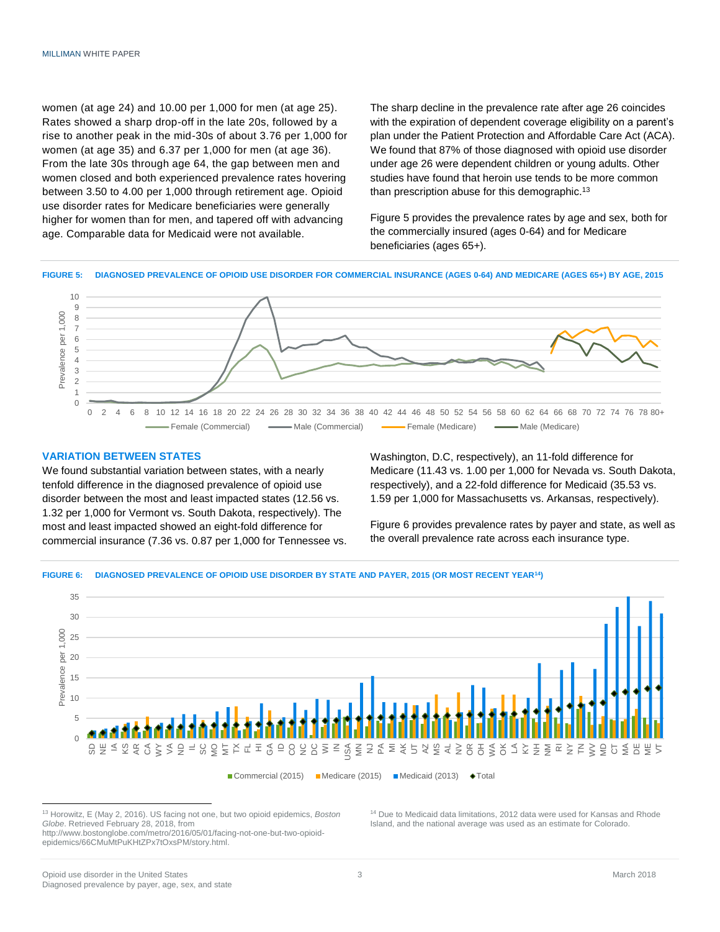women (at age 24) and 10.00 per 1,000 for men (at age 25). Rates showed a sharp drop-off in the late 20s, followed by a rise to another peak in the mid-30s of about 3.76 per 1,000 for women (at age 35) and 6.37 per 1,000 for men (at age 36). From the late 30s through age 64, the gap between men and women closed and both experienced prevalence rates hovering between 3.50 to 4.00 per 1,000 through retirement age. Opioid use disorder rates for Medicare beneficiaries were generally higher for women than for men, and tapered off with advancing age. Comparable data for Medicaid were not available.

The sharp decline in the prevalence rate after age 26 coincides with the expiration of dependent coverage eligibility on a parent's plan under the Patient Protection and Affordable Care Act (ACA). We found that 87% of those diagnosed with opioid use disorder under age 26 were dependent children or young adults. Other studies have found that heroin use tends to be more common than prescription abuse for this demographic.<sup>13</sup>

Figure 5 provides the prevalence rates by age and sex, both for the commercially insured (ages 0-64) and for Medicare beneficiaries (ages 65+).

**FIGURE 5: DIAGNOSED PREVALENCE OF OPIOID USE DISORDER FOR COMMERCIAL INSURANCE (AGES 0-64) AND MEDICARE (AGES 65+) BY AGE, 2015**



## **VARIATION BETWEEN STATES**

We found substantial variation between states, with a nearly tenfold difference in the diagnosed prevalence of opioid use disorder between the most and least impacted states (12.56 vs. 1.32 per 1,000 for Vermont vs. South Dakota, respectively). The most and least impacted showed an eight-fold difference for commercial insurance (7.36 vs. 0.87 per 1,000 for Tennessee vs. Washington, D.C, respectively), an 11-fold difference for Medicare (11.43 vs. 1.00 per 1,000 for Nevada vs. South Dakota, respectively), and a 22-fold difference for Medicaid (35.53 vs. 1.59 per 1,000 for Massachusetts vs. Arkansas, respectively).

Figure 6 provides prevalence rates by payer and state, as well as the overall prevalence rate across each insurance type.

#### **FIGURE 6: DIAGNOSED PREVALENCE OF OPIOID USE DISORDER BY STATE AND PAYER, 2015 (OR MOST RECENT YEAR<sup>14</sup>)**



<sup>13</sup> Horowitz, E (May 2, 2016). US facing not one, but two opioid epidemics, *Boston Globe*. Retrieved February 28, 2018, from

http://www.bostonglobe.com/metro/2016/05/01/facing-not-one-but-two-opioidepidemics/66CMuMtPuKHtZPx7tOxsPM/story.html.

<sup>14</sup> Due to Medicaid data limitations, 2012 data were used for Kansas and Rhode Island, and the national average was used as an estimate for Colorado.

 $\overline{a}$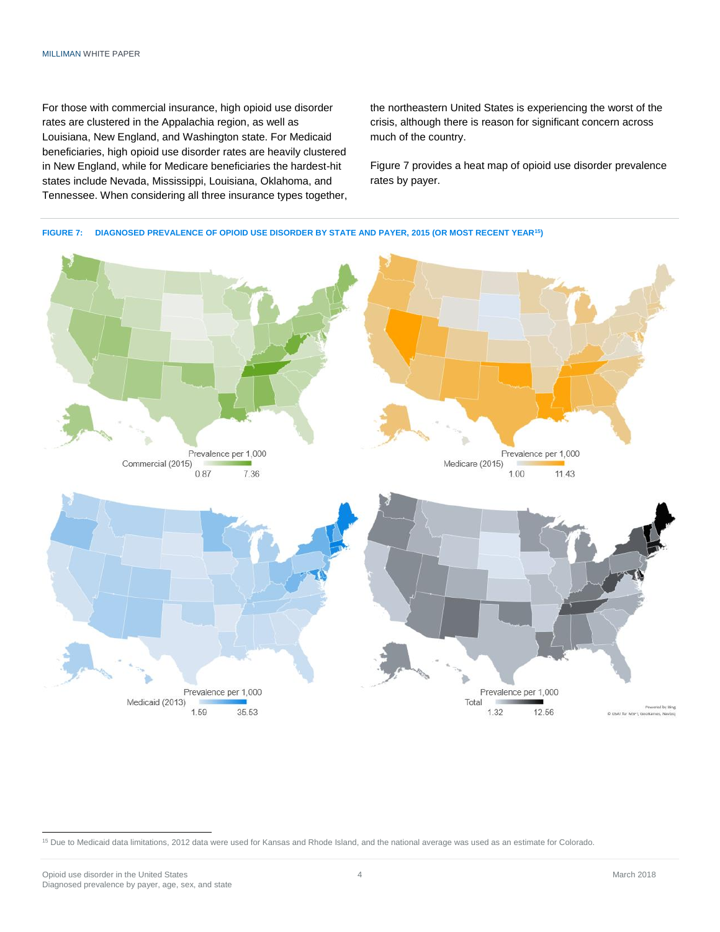For those with commercial insurance, high opioid use disorder rates are clustered in the Appalachia region, as well as Louisiana, New England, and Washington state. For Medicaid beneficiaries, high opioid use disorder rates are heavily clustered in New England, while for Medicare beneficiaries the hardest-hit states include Nevada, Mississippi, Louisiana, Oklahoma, and Tennessee. When considering all three insurance types together, the northeastern United States is experiencing the worst of the crisis, although there is reason for significant concern across much of the country.

Figure 7 provides a heat map of opioid use disorder prevalence rates by payer.



 <sup>15</sup> Due to Medicaid data limitations, 2012 data were used for Kansas and Rhode Island, and the national average was used as an estimate for Colorado.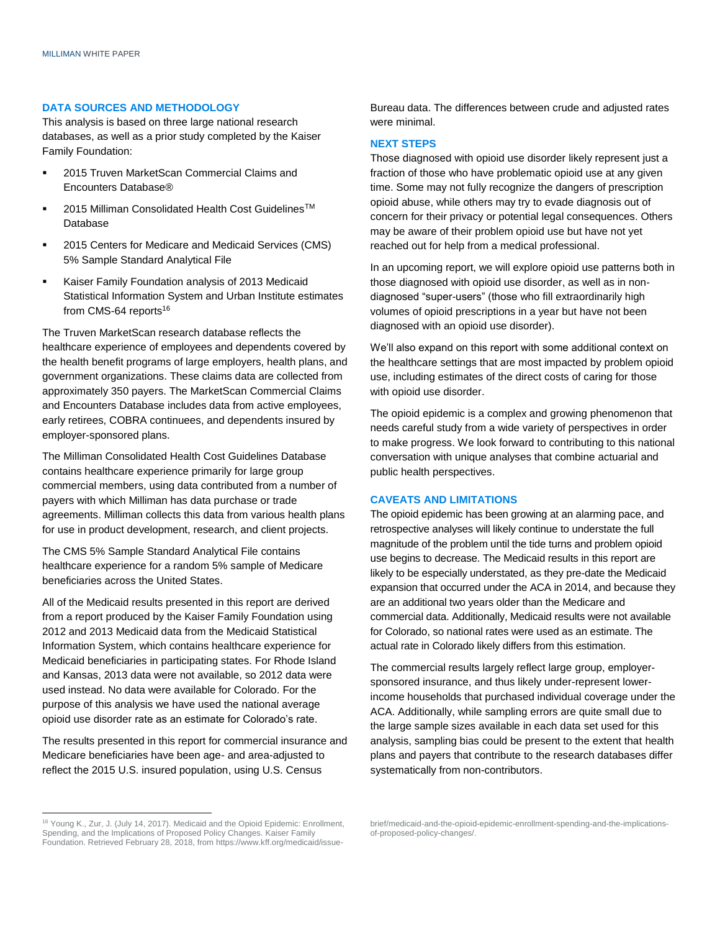## **DATA SOURCES AND METHODOLOGY**

This analysis is based on three large national research databases, as well as a prior study completed by the Kaiser Family Foundation:

- 2015 Truven MarketScan Commercial Claims and Encounters Database®
- 2015 Milliman Consolidated Health Cost Guidelines<sup>™</sup> Database
- 2015 Centers for Medicare and Medicaid Services (CMS) 5% Sample Standard Analytical File
- Kaiser Family Foundation analysis of 2013 Medicaid Statistical Information System and Urban Institute estimates from CMS-64 reports<sup>16</sup>

The Truven MarketScan research database reflects the healthcare experience of employees and dependents covered by the health benefit programs of large employers, health plans, and government organizations. These claims data are collected from approximately 350 payers. The MarketScan Commercial Claims and Encounters Database includes data from active employees, early retirees, COBRA continuees, and dependents insured by employer-sponsored plans.

The Milliman Consolidated Health Cost Guidelines Database contains healthcare experience primarily for large group commercial members, using data contributed from a number of payers with which Milliman has data purchase or trade agreements. Milliman collects this data from various health plans for use in product development, research, and client projects.

The CMS 5% Sample Standard Analytical File contains healthcare experience for a random 5% sample of Medicare beneficiaries across the United States.

All of the Medicaid results presented in this report are derived from a report produced by the Kaiser Family Foundation using 2012 and 2013 Medicaid data from the Medicaid Statistical Information System, which contains healthcare experience for Medicaid beneficiaries in participating states. For Rhode Island and Kansas, 2013 data were not available, so 2012 data were used instead. No data were available for Colorado. For the purpose of this analysis we have used the national average opioid use disorder rate as an estimate for Colorado's rate.

The results presented in this report for commercial insurance and Medicare beneficiaries have been age- and area-adjusted to reflect the 2015 U.S. insured population, using U.S. Census

Bureau data. The differences between crude and adjusted rates were minimal.

## **NEXT STEPS**

Those diagnosed with opioid use disorder likely represent just a fraction of those who have problematic opioid use at any given time. Some may not fully recognize the dangers of prescription opioid abuse, while others may try to evade diagnosis out of concern for their privacy or potential legal consequences. Others may be aware of their problem opioid use but have not yet reached out for help from a medical professional.

In an upcoming report, we will explore opioid use patterns both in those diagnosed with opioid use disorder, as well as in nondiagnosed "super-users" (those who fill extraordinarily high volumes of opioid prescriptions in a year but have not been diagnosed with an opioid use disorder).

We'll also expand on this report with some additional context on the healthcare settings that are most impacted by problem opioid use, including estimates of the direct costs of caring for those with opioid use disorder.

The opioid epidemic is a complex and growing phenomenon that needs careful study from a wide variety of perspectives in order to make progress. We look forward to contributing to this national conversation with unique analyses that combine actuarial and public health perspectives.

## **CAVEATS AND LIMITATIONS**

The opioid epidemic has been growing at an alarming pace, and retrospective analyses will likely continue to understate the full magnitude of the problem until the tide turns and problem opioid use begins to decrease. The Medicaid results in this report are likely to be especially understated, as they pre-date the Medicaid expansion that occurred under the ACA in 2014, and because they are an additional two years older than the Medicare and commercial data. Additionally, Medicaid results were not available for Colorado, so national rates were used as an estimate. The actual rate in Colorado likely differs from this estimation.

The commercial results largely reflect large group, employersponsored insurance, and thus likely under-represent lowerincome households that purchased individual coverage under the ACA. Additionally, while sampling errors are quite small due to the large sample sizes available in each data set used for this analysis, sampling bias could be present to the extent that health plans and payers that contribute to the research databases differ systematically from non-contributors.

brief/medicaid-and-the-opioid-epidemic-enrollment-spending-and-the-implicationsof-proposed-policy-changes/.

<sup>&</sup>lt;sup>16</sup> Young K., Zur, J. (July 14, 2017). Medicaid and the Opioid Epidemic: Enrollment, Spending, and the Implications of Proposed Policy Changes. Kaiser Family Foundation. Retrieved February 28, 2018, from https://www.kff.org/medicaid/issue-